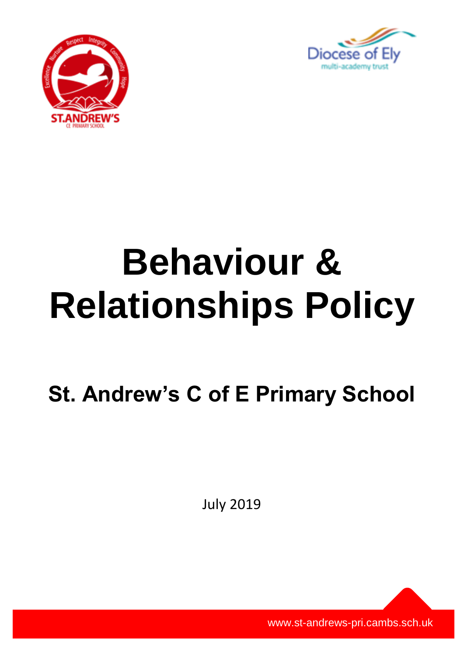



# **Behaviour & Relationships Policy**

**St. Andrew's C of E Primary School**

July 2019

www.st-andrews-pri.cambs.sch.uk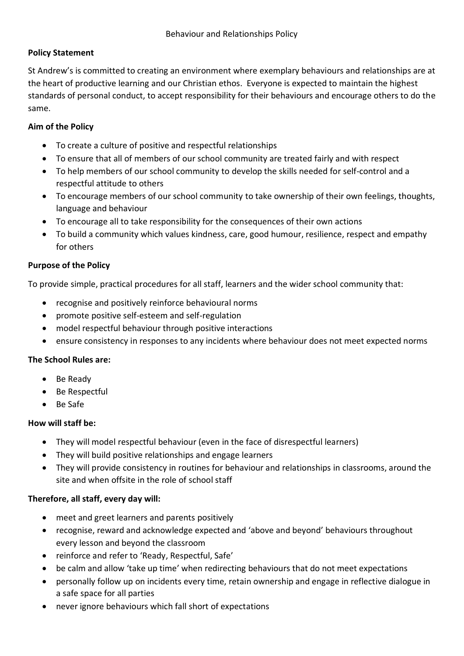# **Policy Statement**

St Andrew's is committed to creating an environment where exemplary behaviours and relationships are at the heart of productive learning and our Christian ethos. Everyone is expected to maintain the highest standards of personal conduct, to accept responsibility for their behaviours and encourage others to do the same.

# **Aim of the Policy**

- To create a culture of positive and respectful relationships
- To ensure that all of members of our school community are treated fairly and with respect
- To help members of our school community to develop the skills needed for self-control and a respectful attitude to others
- To encourage members of our school community to take ownership of their own feelings, thoughts, language and behaviour
- To encourage all to take responsibility for the consequences of their own actions
- To build a community which values kindness, care, good humour, resilience, respect and empathy for others

# **Purpose of the Policy**

To provide simple, practical procedures for all staff, learners and the wider school community that:

- recognise and positively reinforce behavioural norms
- promote positive self-esteem and self-regulation
- model respectful behaviour through positive interactions
- ensure consistency in responses to any incidents where behaviour does not meet expected norms

## **The School Rules are:**

- Be Ready
- Be Respectful
- Be Safe

## **How will staff be:**

- They will model respectful behaviour (even in the face of disrespectful learners)
- They will build positive relationships and engage learners
- They will provide consistency in routines for behaviour and relationships in classrooms, around the site and when offsite in the role of school staff

# **Therefore, all staff, every day will:**

- meet and greet learners and parents positively
- recognise, reward and acknowledge expected and 'above and beyond' behaviours throughout every lesson and beyond the classroom
- reinforce and refer to 'Ready, Respectful, Safe'
- be calm and allow 'take up time' when redirecting behaviours that do not meet expectations
- personally follow up on incidents every time, retain ownership and engage in reflective dialogue in a safe space for all parties
- never ignore behaviours which fall short of expectations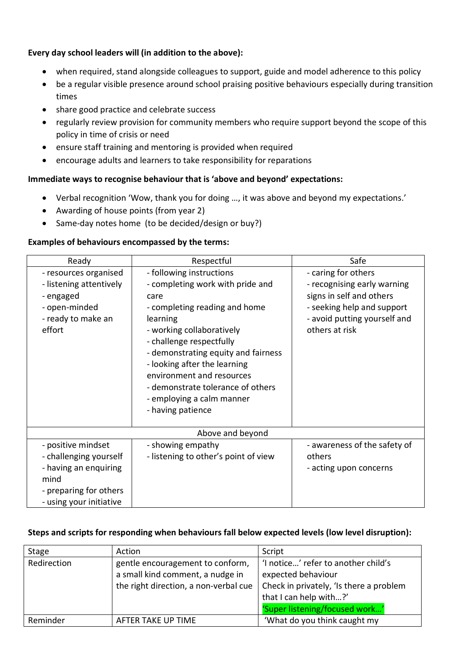## **Every day school leaders will (in addition to the above):**

- when required, stand alongside colleagues to support, guide and model adherence to this policy
- be a regular visible presence around school praising positive behaviours especially during transition times
- share good practice and celebrate success
- regularly review provision for community members who require support beyond the scope of this policy in time of crisis or need
- ensure staff training and mentoring is provided when required
- encourage adults and learners to take responsibility for reparations

### **Immediate ways to recognise behaviour that is 'above and beyond' expectations:**

- Verbal recognition 'Wow, thank you for doing …, it was above and beyond my expectations.'
- Awarding of house points (from year 2)
- Same-day notes home (to be decided/design or buy?)

### **Examples of behaviours encompassed by the terms:**

| Ready                                                                                                                              | Respectful                                                                                                                                                                                                                                                                                                                                                            | Safe                                                                                                                                                           |
|------------------------------------------------------------------------------------------------------------------------------------|-----------------------------------------------------------------------------------------------------------------------------------------------------------------------------------------------------------------------------------------------------------------------------------------------------------------------------------------------------------------------|----------------------------------------------------------------------------------------------------------------------------------------------------------------|
| - resources organised<br>- listening attentively<br>- engaged<br>- open-minded<br>- ready to make an<br>effort                     | - following instructions<br>- completing work with pride and<br>care<br>- completing reading and home<br>learning<br>- working collaboratively<br>- challenge respectfully<br>- demonstrating equity and fairness<br>- looking after the learning<br>environment and resources<br>- demonstrate tolerance of others<br>- employing a calm manner<br>- having patience | - caring for others<br>- recognising early warning<br>signs in self and others<br>- seeking help and support<br>- avoid putting yourself and<br>others at risk |
|                                                                                                                                    | Above and beyond                                                                                                                                                                                                                                                                                                                                                      |                                                                                                                                                                |
| - positive mindset<br>- challenging yourself<br>- having an enquiring<br>mind<br>- preparing for others<br>- using your initiative | - showing empathy<br>- listening to other's point of view                                                                                                                                                                                                                                                                                                             | - awareness of the safety of<br>others<br>- acting upon concerns                                                                                               |

### **Steps and scripts for responding when behaviours fall below expected levels (low level disruption):**

| Stage       | Action                                                                                                        | Script                                                                                                                                                           |
|-------------|---------------------------------------------------------------------------------------------------------------|------------------------------------------------------------------------------------------------------------------------------------------------------------------|
| Redirection | gentle encouragement to conform,<br>a small kind comment, a nudge in<br>the right direction, a non-verbal cue | 'I notice' refer to another child's<br>expected behaviour<br>Check in privately, 'Is there a problem<br>that I can help with?'<br>'Super listening/focused work' |
| Reminder    | AFTER TAKE UP TIME                                                                                            | 'What do you think caught my                                                                                                                                     |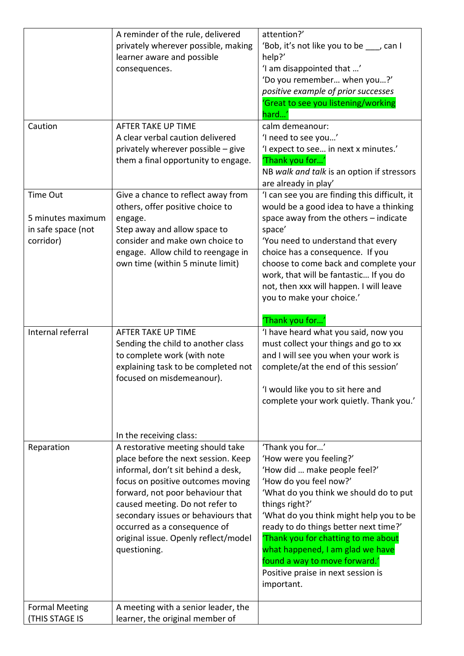|                       | A reminder of the rule, delivered    | attention?'                                   |
|-----------------------|--------------------------------------|-----------------------------------------------|
|                       | privately wherever possible, making  | 'Bob, it's not like you to be ___, can I      |
|                       | learner aware and possible           | help?'                                        |
|                       | consequences.                        | 'I am disappointed that '                     |
|                       |                                      | 'Do you remember when you?'                   |
|                       |                                      | positive example of prior successes           |
|                       |                                      | 'Great to see you listening/working           |
|                       |                                      | hard'                                         |
| Caution               | AFTER TAKE UP TIME                   | calm demeanour:                               |
|                       | A clear verbal caution delivered     | 'I need to see you'                           |
|                       | privately wherever possible - give   | 'I expect to see in next x minutes.'          |
|                       | them a final opportunity to engage.  | 'Thank you for'                               |
|                       |                                      | NB walk and talk is an option if stressors    |
|                       |                                      | are already in play'                          |
| Time Out              | Give a chance to reflect away from   | 'I can see you are finding this difficult, it |
|                       | others, offer positive choice to     | would be a good idea to have a thinking       |
| 5 minutes maximum     | engage.                              | space away from the others - indicate         |
| in safe space (not    | Step away and allow space to         | space'                                        |
| corridor)             | consider and make own choice to      | 'You need to understand that every            |
|                       | engage. Allow child to reengage in   | choice has a consequence. If you              |
|                       | own time (within 5 minute limit)     | choose to come back and complete your         |
|                       |                                      | work, that will be fantastic If you do        |
|                       |                                      | not, then xxx will happen. I will leave       |
|                       |                                      | you to make your choice.'                     |
|                       |                                      |                                               |
|                       |                                      | 'Thank you for'                               |
| Internal referral     | AFTER TAKE UP TIME                   | 'I have heard what you said, now you          |
|                       | Sending the child to another class   | must collect your things and go to xx         |
|                       | to complete work (with note          | and I will see you when your work is          |
|                       | explaining task to be completed not  | complete/at the end of this session'          |
|                       | focused on misdemeanour).            |                                               |
|                       |                                      | 'I would like you to sit here and             |
|                       |                                      | complete your work quietly. Thank you.'       |
|                       |                                      |                                               |
|                       |                                      |                                               |
|                       | In the receiving class:              |                                               |
| Reparation            | A restorative meeting should take    | 'Thank you for'                               |
|                       | place before the next session. Keep  | 'How were you feeling?'                       |
|                       | informal, don't sit behind a desk,   | 'How did  make people feel?'                  |
|                       | focus on positive outcomes moving    | 'How do you feel now?'                        |
|                       | forward, not poor behaviour that     | 'What do you think we should do to put        |
|                       | caused meeting. Do not refer to      | things right?'                                |
|                       | secondary issues or behaviours that  | 'What do you think might help you to be       |
|                       | occurred as a consequence of         | ready to do things better next time?'         |
|                       | original issue. Openly reflect/model | Thank you for chatting to me about            |
|                       | questioning.                         | what happened, I am glad we have              |
|                       |                                      | found a way to move forward.'                 |
|                       |                                      | Positive praise in next session is            |
|                       |                                      | important.                                    |
|                       |                                      |                                               |
| <b>Formal Meeting</b> | A meeting with a senior leader, the  |                                               |
| <b>(THIS STAGE IS</b> | learner, the original member of      |                                               |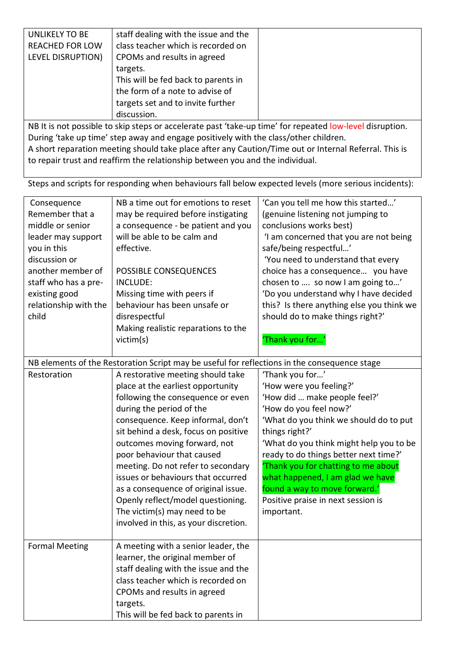| <b>UNLIKELY TO BE</b>                                                                                    | staff dealing with the issue and the |  |
|----------------------------------------------------------------------------------------------------------|--------------------------------------|--|
| <b>REACHED FOR LOW</b>                                                                                   | class teacher which is recorded on   |  |
| LEVEL DISRUPTION)                                                                                        | CPOMs and results in agreed          |  |
|                                                                                                          | targets.                             |  |
|                                                                                                          | This will be fed back to parents in  |  |
|                                                                                                          | the form of a note to advise of      |  |
|                                                                                                          | targets set and to invite further    |  |
|                                                                                                          | discussion.                          |  |
| NB It is not possible to skip steps or accelerate past 'take-up time' for repeated low-level disruption. |                                      |  |
| During 'take up time' step away and engage positively with the class/other children.                     |                                      |  |

A short reparation meeting should take place after any Caution/Time out or Internal Referral. This is to repair trust and reaffirm the relationship between you and the individual.

Steps and scripts for responding when behaviours fall below expected levels (more serious incidents):

| Consequence<br>Remember that a<br>middle or senior<br>leader may support<br>you in this<br>discussion or<br>another member of<br>staff who has a pre-<br>existing good<br>relationship with the<br>child | NB a time out for emotions to reset<br>may be required before instigating<br>a consequence - be patient and you<br>will be able to be calm and<br>effective.<br>POSSIBLE CONSEQUENCES<br><b>INCLUDE:</b><br>Missing time with peers if<br>behaviour has been unsafe or<br>disrespectful                                                                                                                                                                                                                             | 'Can you tell me how this started'<br>(genuine listening not jumping to<br>conclusions works best)<br>'I am concerned that you are not being<br>safe/being respectful'<br>'You need to understand that every<br>choice has a consequence you have<br>chosen to  so now I am going to'<br>'Do you understand why I have decided<br>this? Is there anything else you think we<br>should do to make things right?'     |
|----------------------------------------------------------------------------------------------------------------------------------------------------------------------------------------------------------|---------------------------------------------------------------------------------------------------------------------------------------------------------------------------------------------------------------------------------------------------------------------------------------------------------------------------------------------------------------------------------------------------------------------------------------------------------------------------------------------------------------------|---------------------------------------------------------------------------------------------------------------------------------------------------------------------------------------------------------------------------------------------------------------------------------------------------------------------------------------------------------------------------------------------------------------------|
|                                                                                                                                                                                                          | Making realistic reparations to the<br>victim(s)                                                                                                                                                                                                                                                                                                                                                                                                                                                                    | 'Thank you for'                                                                                                                                                                                                                                                                                                                                                                                                     |
|                                                                                                                                                                                                          | NB elements of the Restoration Script may be useful for reflections in the consequence stage                                                                                                                                                                                                                                                                                                                                                                                                                        |                                                                                                                                                                                                                                                                                                                                                                                                                     |
| Restoration                                                                                                                                                                                              | A restorative meeting should take<br>place at the earliest opportunity<br>following the consequence or even<br>during the period of the<br>consequence. Keep informal, don't<br>sit behind a desk, focus on positive<br>outcomes moving forward, not<br>poor behaviour that caused<br>meeting. Do not refer to secondary<br>issues or behaviours that occurred<br>as a consequence of original issue.<br>Openly reflect/model questioning.<br>The victim(s) may need to be<br>involved in this, as your discretion. | 'Thank you for'<br>'How were you feeling?'<br>'How did  make people feel?'<br>'How do you feel now?'<br>'What do you think we should do to put<br>things right?'<br>'What do you think might help you to be<br>ready to do things better next time?'<br>Thank you for chatting to me about<br>what happened, I am glad we have<br>found a way to move forward.'<br>Positive praise in next session is<br>important. |
| <b>Formal Meeting</b>                                                                                                                                                                                    | A meeting with a senior leader, the<br>learner, the original member of<br>staff dealing with the issue and the<br>class teacher which is recorded on<br>CPOMs and results in agreed<br>targets.<br>This will be fed back to parents in                                                                                                                                                                                                                                                                              |                                                                                                                                                                                                                                                                                                                                                                                                                     |